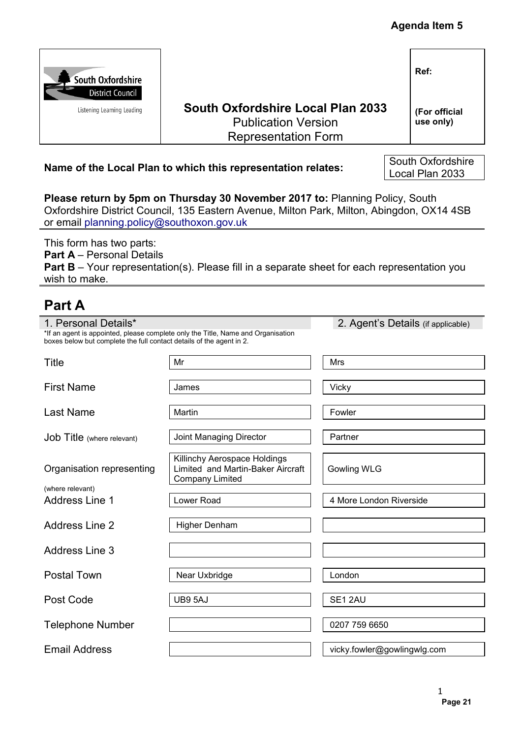|                                                                                              |                                                                                                                                                                           |                             | <b>Agenda Item 5</b>                 |
|----------------------------------------------------------------------------------------------|---------------------------------------------------------------------------------------------------------------------------------------------------------------------------|-----------------------------|--------------------------------------|
| South Oxfordshire<br><b>District Council</b><br>Listening Learning Leading                   | <b>South Oxfordshire Local Plan 2033</b><br><b>Publication Version</b><br><b>Representation Form</b>                                                                      |                             | Ref:<br>(For official<br>use only)   |
|                                                                                              | Name of the Local Plan to which this representation relates:                                                                                                              |                             | South Oxfordshire<br>Local Plan 2033 |
| or email planning.policy@southoxon.gov.uk                                                    | Please return by 5pm on Thursday 30 November 2017 to: Planning Policy, South<br>Oxfordshire District Council, 135 Eastern Avenue, Milton Park, Milton, Abingdon, OX14 4SB |                             |                                      |
| This form has two parts:<br><b>Part A</b> – Personal Details<br>wish to make.                | <b>Part B</b> – Your representation(s). Please fill in a separate sheet for each representation you                                                                       |                             |                                      |
| <b>Part A</b>                                                                                |                                                                                                                                                                           |                             |                                      |
| 1. Personal Details*<br>boxes below but complete the full contact details of the agent in 2. | *If an agent is appointed, please complete only the Title, Name and Organisation                                                                                          |                             | 2. Agent's Details (if applicable)   |
| Title                                                                                        | Mr                                                                                                                                                                        | Mrs                         |                                      |
| <b>First Name</b>                                                                            | James                                                                                                                                                                     | Vicky                       |                                      |
| Last Name                                                                                    | Martin                                                                                                                                                                    | Fowler                      |                                      |
| Job Title (where relevant)                                                                   | Joint Managing Director                                                                                                                                                   | Partner                     |                                      |
| Organisation representing                                                                    | Killinchy Aerospace Holdings<br>Limited and Martin-Baker Aircraft<br><b>Company Limited</b>                                                                               | <b>Gowling WLG</b>          |                                      |
| (where relevant)<br><b>Address Line 1</b>                                                    | Lower Road                                                                                                                                                                | 4 More London Riverside     |                                      |
| <b>Address Line 2</b>                                                                        | <b>Higher Denham</b>                                                                                                                                                      |                             |                                      |
| <b>Address Line 3</b>                                                                        |                                                                                                                                                                           |                             |                                      |
| <b>Postal Town</b>                                                                           | Near Uxbridge                                                                                                                                                             | London                      |                                      |
| Post Code                                                                                    | UB9 5AJ                                                                                                                                                                   | SE1 2AU                     |                                      |
| <b>Telephone Number</b>                                                                      |                                                                                                                                                                           | 0207 759 6650               |                                      |
| <b>Email Address</b>                                                                         |                                                                                                                                                                           | vicky.fowler@gowlingwlg.com |                                      |
|                                                                                              |                                                                                                                                                                           |                             | 1                                    |

# **Name of the Local Plan to which this representation relates:** South Oxfordshire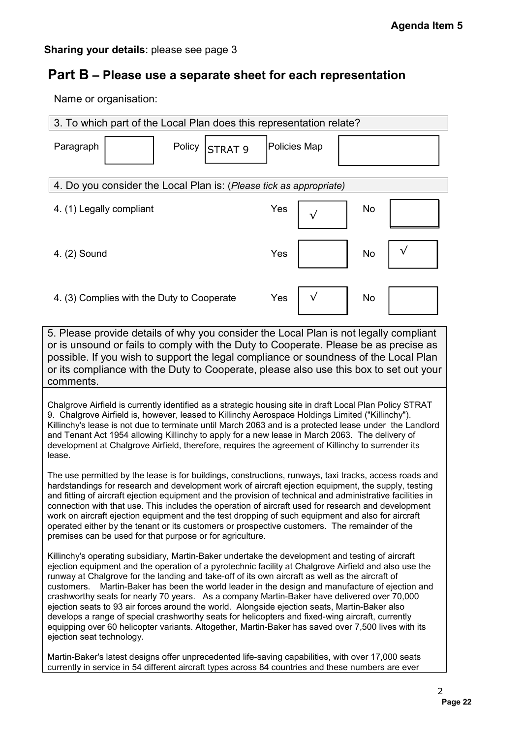## **Part B – Please use a separate sheet for each representation**

| Part B - Please use a separate sheet for each representation                                                                                                                                                                                                                                                                                                                                                                                                                                                                                                                                                                                                                                                                                                       |                                                                                       |
|--------------------------------------------------------------------------------------------------------------------------------------------------------------------------------------------------------------------------------------------------------------------------------------------------------------------------------------------------------------------------------------------------------------------------------------------------------------------------------------------------------------------------------------------------------------------------------------------------------------------------------------------------------------------------------------------------------------------------------------------------------------------|---------------------------------------------------------------------------------------|
| Name or organisation:                                                                                                                                                                                                                                                                                                                                                                                                                                                                                                                                                                                                                                                                                                                                              |                                                                                       |
| 3. To which part of the Local Plan does this representation relate?                                                                                                                                                                                                                                                                                                                                                                                                                                                                                                                                                                                                                                                                                                |                                                                                       |
| Paragraph<br>Policy<br><b>STRAT 9</b>                                                                                                                                                                                                                                                                                                                                                                                                                                                                                                                                                                                                                                                                                                                              | <b>Policies Map</b>                                                                   |
| 4. Do you consider the Local Plan is: (Please tick as appropriate)                                                                                                                                                                                                                                                                                                                                                                                                                                                                                                                                                                                                                                                                                                 |                                                                                       |
| 4. (1) Legally compliant                                                                                                                                                                                                                                                                                                                                                                                                                                                                                                                                                                                                                                                                                                                                           | Yes<br>No                                                                             |
| 4. (2) Sound                                                                                                                                                                                                                                                                                                                                                                                                                                                                                                                                                                                                                                                                                                                                                       | No<br>Yes                                                                             |
| 4. (3) Complies with the Duty to Cooperate                                                                                                                                                                                                                                                                                                                                                                                                                                                                                                                                                                                                                                                                                                                         | Yes<br>No                                                                             |
| or is unsound or fails to comply with the Duty to Cooperate. Please be as precise as<br>possible. If you wish to support the legal compliance or soundness of the Local Plan<br>or its compliance with the Duty to Cooperate, please also use this box to set out your<br>comments.                                                                                                                                                                                                                                                                                                                                                                                                                                                                                | 5. Please provide details of why you consider the Local Plan is not legally compliant |
| Chalgrove Airfield is currently identified as a strategic housing site in draft Local Plan Policy STRAT<br>9. Chalgrove Airfield is, however, leased to Killinchy Aerospace Holdings Limited ("Killinchy").<br>Killinchy's lease is not due to terminate until March 2063 and is a protected lease under the Landlord<br>and Tenant Act 1954 allowing Killinchy to apply for a new lease in March 2063. The delivery of<br>development at Chalgrove Airfield, therefore, requires the agreement of Killinchy to surrender its                                                                                                                                                                                                                                      |                                                                                       |
| lease.<br>The use permitted by the lease is for buildings, constructions, runways, taxi tracks, access roads and<br>hardstandings for research and development work of aircraft ejection equipment, the supply, testing<br>and fitting of aircraft ejection equipment and the provision of technical and administrative facilities in<br>connection with that use. This includes the operation of aircraft used for research and development<br>work on aircraft ejection equipment and the test dropping of such equipment and also for aircraft<br>operated either by the tenant or its customers or prospective customers. The remainder of the<br>premises can be used for that purpose or for agriculture.                                                    |                                                                                       |
| Killinchy's operating subsidiary, Martin-Baker undertake the development and testing of aircraft<br>ejection equipment and the operation of a pyrotechnic facility at Chalgrove Airfield and also use the<br>runway at Chalgrove for the landing and take-off of its own aircraft as well as the aircraft of<br>customers.<br>crashworthy seats for nearly 70 years. As a company Martin-Baker have delivered over 70,000<br>ejection seats to 93 air forces around the world. Alongside ejection seats, Martin-Baker also<br>develops a range of special crashworthy seats for helicopters and fixed-wing aircraft, currently<br>equipping over 60 helicopter variants. Altogether, Martin-Baker has saved over 7,500 lives with its<br>ejection seat technology. | Martin-Baker has been the world leader in the design and manufacture of ejection and  |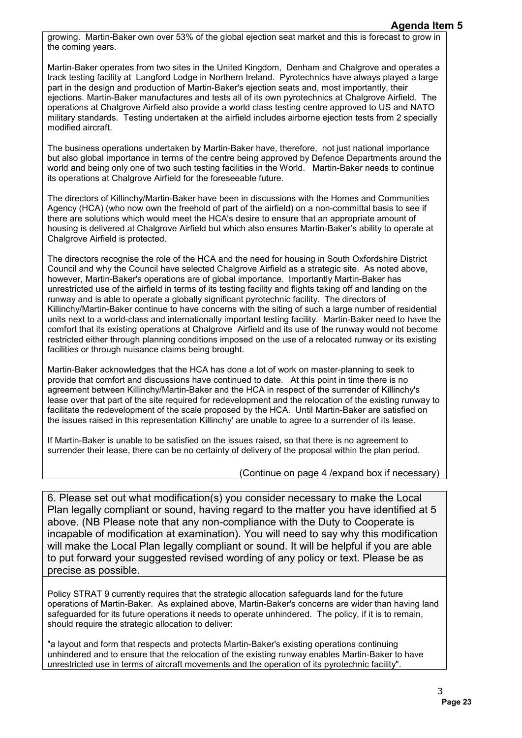growing. Martin-Baker own over 53% of the global ejection seat market and this is forecast to grow in the coming years.

Martin-Baker operates from two sites in the United Kingdom, Denham and Chalgrove and operates a track testing facility at Langford Lodge in Northern Ireland. Pyrotechnics have always played a large part in the design and production of Martin-Baker's ejection seats and, most importantly, their ejections. Martin-Baker manufactures and tests all of its own pyrotechnics at Chalgrove Airfield. The operations at Chalgrove Airfield also provide a world class testing centre approved to US and NATO military standards. Testing undertaken at the airfield includes airborne ejection tests from 2 specially modified aircraft.

The business operations undertaken by Martin-Baker have, therefore, not just national importance but also global importance in terms of the centre being approved by Defence Departments around the world and being only one of two such testing facilities in the World. Martin-Baker needs to continue its operations at Chalgrove Airfield for the foreseeable future.

The directors of Killinchy/Martin-Baker have been in discussions with the Homes and Communities Agency (HCA) (who now own the freehold of part of the airfield) on a non-committal basis to see if there are solutions which would meet the HCA's desire to ensure that an appropriate amount of housing is delivered at Chalgrove Airfield but which also ensures Martin-Baker's ability to operate at Chalgrove Airfield is protected.

The directors recognise the role of the HCA and the need for housing in South Oxfordshire District Council and why the Council have selected Chalgrove Airfield as a strategic site. As noted above, however, Martin-Baker's operations are of global importance. Importantly Martin-Baker has unrestricted use of the airfield in terms of its testing facility and flights taking off and landing on the runway and is able to operate a globally significant pyrotechnic facility. The directors of Killinchy/Martin-Baker continue to have concerns with the siting of such a large number of residential units next to a world-class and internationally important testing facility. Martin-Baker need to have the comfort that its existing operations at Chalgrove Airfield and its use of the runway would not become restricted either through planning conditions imposed on the use of a relocated runway or its existing facilities or through nuisance claims being brought. **Agenda Item 5**<br>sast to grow in<br>d operates a<br>devel a large<br>their<br>that and NATO<br>in 2 specially<br>mportance<br>ts around the to continue<br>mmunities<br>s to see if<br>ount of<br>operate at<br>ount of<br>operate at<br> $\alpha$  perate at<br> $\alpha$  perate at<br> $\$ 

Martin-Baker acknowledges that the HCA has done a lot of work on master-planning to seek to provide that comfort and discussions have continued to date. At this point in time there is no agreement between Killinchy/Martin-Baker and the HCA in respect of the surrender of Killinchy's lease over that part of the site required for redevelopment and the relocation of the existing runway to facilitate the redevelopment of the scale proposed by the HCA. Until Martin-Baker are satisfied on the issues raised in this representation Killinchy' are unable to agree to a surrender of its lease.

If Martin-Baker is unable to be satisfied on the issues raised, so that there is no agreement to surrender their lease, there can be no certainty of delivery of the proposal within the plan period.

#### (Continue on page 4 /expand box if necessary)

6. Please set out what modification(s) you consider necessary to make the Local Plan legally compliant or sound, having regard to the matter you have identified at 5 above. (NB Please note that any non-compliance with the Duty to Cooperate is incapable of modification at examination). You will need to say why this modification will make the Local Plan legally compliant or sound. It will be helpful if you are able to put forward your suggested revised wording of any policy or text. Please be as precise as possible.

Policy STRAT 9 currently requires that the strategic allocation safeguards land for the future operations of Martin-Baker. As explained above, Martin-Baker's concerns are wider than having land safeguarded for its future operations it needs to operate unhindered. The policy, if it is to remain, should require the strategic allocation to deliver:

"a layout and form that respects and protects Martin-Baker's existing operations continuing unhindered and to ensure that the relocation of the existing runway enables Martin-Baker to have unrestricted use in terms of aircraft movements and the operation of its pyrotechnic facility".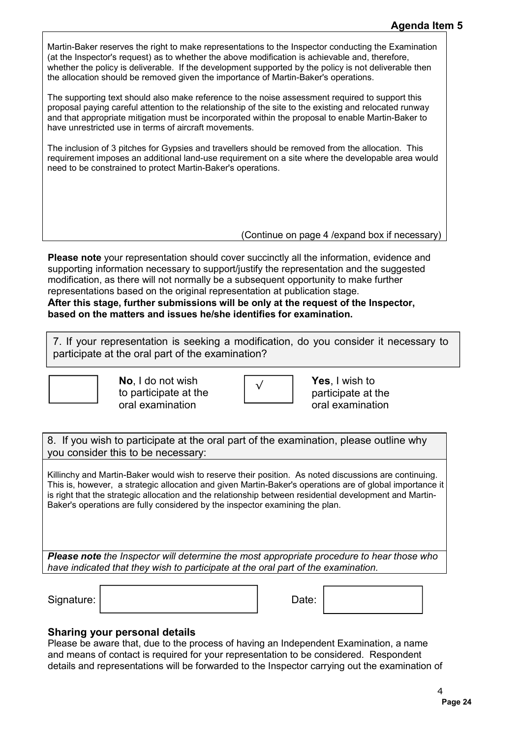Martin-Baker reserves the right to make representations to the Inspector conducting the Examination (at the Inspector's request) as to whether the above modification is achievable and, therefore, whether the policy is deliverable. If the development supported by the policy is not deliverable then the allocation should be removed given the importance of Martin-Baker's operations.

The supporting text should also make reference to the noise assessment required to support this proposal paying careful attention to the relationship of the site to the existing and relocated runway and that appropriate mitigation must be incorporated within the proposal to enable Martin-Baker to have unrestricted use in terms of aircraft movements.

The inclusion of 3 pitches for Gypsies and travellers should be removed from the allocation. This requirement imposes an additional land-use requirement on a site where the developable area would need to be constrained to protect Martin-Baker's operations.

(Continue on page 4 /expand box if necessary)

**Please note** your representation should cover succinctly all the information, evidence and supporting information necessary to support/justify the representation and the suggested modification, as there will not normally be a subsequent opportunity to make further representations based on the original representation at publication stage.

**After this stage, further submissions will be only at the request of the Inspector, based on the matters and issues he/she identifies for examination.**

7. If your representation is seeking a modification, do you consider it necessary to participate at the oral part of the examination?



**No**, I do not wish to participate at the oral examination



Yes, I wish to participate at the oral examination

8. If you wish to participate at the oral part of the examination, please outline why you consider this to be necessary:

Killinchy and Martin-Baker would wish to reserve their position. As noted discussions are continuing. This is, however, a strategic allocation and given Martin-Baker's operations are of global importance it is right that the strategic allocation and the relationship between residential development and Martin-Baker's operations are fully considered by the inspector examining the plan. **Agenda Item 5**<br>Examination<br>fore,<br>fore,<br>rable then<br>port this<br>ed runway<br>-Baker to<br>on. This<br>area would<br>area would<br>increased merecal and ggested<br>nerecal and ggested<br>nerecal merecal and ggested<br>increased merecal and Martin-<br>im

*Please note the Inspector will determine the most appropriate procedure to hear those who have indicated that they wish to participate at the oral part of the examination.*

Signature: | Date: | Date: | Date: | Date: | Date: | Date: | Date: | Date: | Date: | Date: | Date: | Date: | Date: | Date: | Date: | Date: | Date: | Date: | Date: | Date: | Date: | Date: | Date: | Date: | Date: | Date: | D

### **Sharing your personal details**

Please be aware that, due to the process of having an Independent Examination, a name and means of contact is required for your representation to be considered. Respondent details and representations will be forwarded to the Inspector carrying out the examination of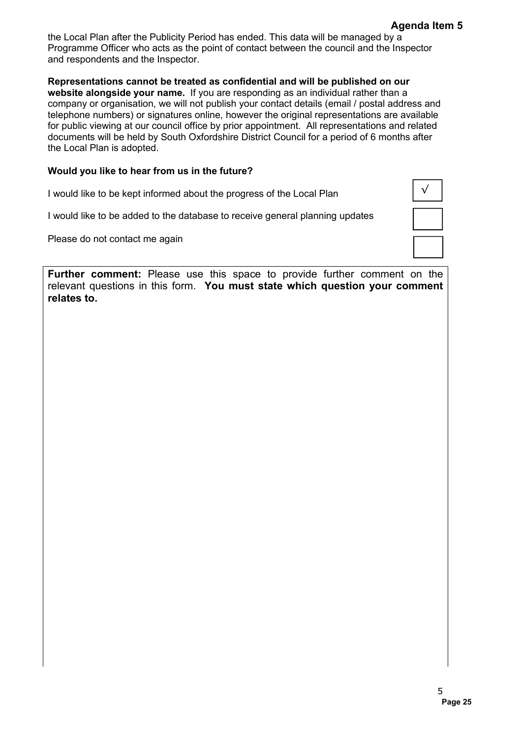the Local Plan after the Publicity Period has ended. This data will be managed by a Programme Officer who acts as the point of contact between the council and the Inspector and respondents and the Inspector.

**Representations cannot be treated as confidential and will be published on our website alongside your name.** If you are responding as an individual rather than a company or organisation, we will not publish your contact details (email / postal address and telephone numbers) or signatures online, however the original representations are available for public viewing at our council office by prior appointment. All representations and related documents will be held by South Oxfordshire District Council for a period of 6 months after the Local Plan is adopted. Agenda Item 5<br>y a<br>Inspector<br>and address and<br>and related<br>and related<br>miths after<br>and to the<br>comment<br>comment<br>5<br>Page 25<br>Page 25

#### **Would you like to hear from us in the future?**

I would like to be kept informed about the progress of the Local Plan I would like to be added to the database to receive general planning updates Please do not contact me again √

**Further comment:** Please use this space to provide further comment on the relevant questions in this form. **You must state which question your comment relates to.**